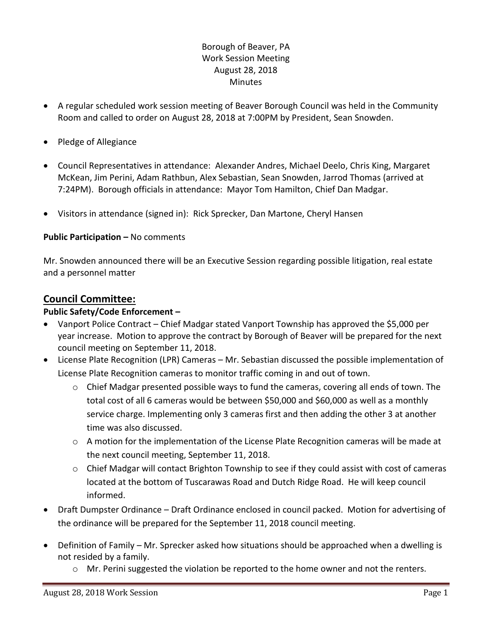## Borough of Beaver, PA Work Session Meeting August 28, 2018 **Minutes**

- A regular scheduled work session meeting of Beaver Borough Council was held in the Community Room and called to order on August 28, 2018 at 7:00PM by President, Sean Snowden.
- Pledge of Allegiance
- Council Representatives in attendance: Alexander Andres, Michael Deelo, Chris King, Margaret McKean, Jim Perini, Adam Rathbun, Alex Sebastian, Sean Snowden, Jarrod Thomas (arrived at 7:24PM). Borough officials in attendance: Mayor Tom Hamilton, Chief Dan Madgar.
- Visitors in attendance (signed in): Rick Sprecker, Dan Martone, Cheryl Hansen

### **Public Participation –** No comments

Mr. Snowden announced there will be an Executive Session regarding possible litigation, real estate and a personnel matter

# **Council Committee:**

### **Public Safety/Code Enforcement –**

- Vanport Police Contract Chief Madgar stated Vanport Township has approved the \$5,000 per year increase. Motion to approve the contract by Borough of Beaver will be prepared for the next council meeting on September 11, 2018.
- License Plate Recognition (LPR) Cameras Mr. Sebastian discussed the possible implementation of License Plate Recognition cameras to monitor traffic coming in and out of town.
	- o Chief Madgar presented possible ways to fund the cameras, covering all ends of town. The total cost of all 6 cameras would be between \$50,000 and \$60,000 as well as a monthly service charge. Implementing only 3 cameras first and then adding the other 3 at another time was also discussed.
	- o A motion for the implementation of the License Plate Recognition cameras will be made at the next council meeting, September 11, 2018.
	- o Chief Madgar will contact Brighton Township to see if they could assist with cost of cameras located at the bottom of Tuscarawas Road and Dutch Ridge Road. He will keep council informed.
- Draft Dumpster Ordinance Draft Ordinance enclosed in council packed. Motion for advertising of the ordinance will be prepared for the September 11, 2018 council meeting.
- Definition of Family Mr. Sprecker asked how situations should be approached when a dwelling is not resided by a family.
	- $\circ$  Mr. Perini suggested the violation be reported to the home owner and not the renters.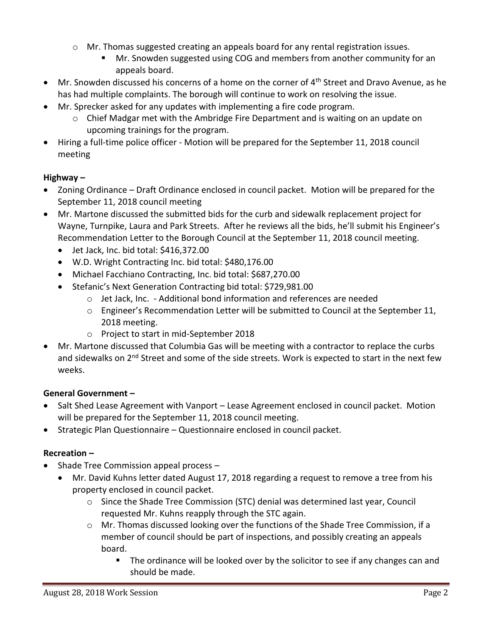- $\circ$  Mr. Thomas suggested creating an appeals board for any rental registration issues.
	- Mr. Snowden suggested using COG and members from another community for an appeals board.
- Mr. Snowden discussed his concerns of a home on the corner of 4<sup>th</sup> Street and Dravo Avenue, as he has had multiple complaints. The borough will continue to work on resolving the issue.
- Mr. Sprecker asked for any updates with implementing a fire code program.
	- $\circ$  Chief Madgar met with the Ambridge Fire Department and is waiting on an update on upcoming trainings for the program.
- Hiring a full-time police officer Motion will be prepared for the September 11, 2018 council meeting

### **Highway –**

- Zoning Ordinance Draft Ordinance enclosed in council packet. Motion will be prepared for the September 11, 2018 council meeting
- Mr. Martone discussed the submitted bids for the curb and sidewalk replacement project for Wayne, Turnpike, Laura and Park Streets. After he reviews all the bids, he'll submit his Engineer's Recommendation Letter to the Borough Council at the September 11, 2018 council meeting.
	- Jet Jack, Inc. bid total: \$416,372.00
	- W.D. Wright Contracting Inc. bid total: \$480,176.00
	- Michael Facchiano Contracting, Inc. bid total: \$687,270.00
	- Stefanic's Next Generation Contracting bid total: \$729,981.00
		- o Jet Jack, Inc. Additional bond information and references are needed
		- $\circ$  Engineer's Recommendation Letter will be submitted to Council at the September 11, 2018 meeting.
		- o Project to start in mid-September 2018
- Mr. Martone discussed that Columbia Gas will be meeting with a contractor to replace the curbs and sidewalks on 2<sup>nd</sup> Street and some of the side streets. Work is expected to start in the next few weeks.

### **General Government –**

- Salt Shed Lease Agreement with Vanport Lease Agreement enclosed in council packet. Motion will be prepared for the September 11, 2018 council meeting.
- Strategic Plan Questionnaire Questionnaire enclosed in council packet.

### **Recreation –**

- $\bullet$  Shade Tree Commission appeal process  $-$ 
	- Mr. David Kuhns letter dated August 17, 2018 regarding a request to remove a tree from his property enclosed in council packet.
		- $\circ$  Since the Shade Tree Commission (STC) denial was determined last year, Council requested Mr. Kuhns reapply through the STC again.
		- o Mr. Thomas discussed looking over the functions of the Shade Tree Commission, if a member of council should be part of inspections, and possibly creating an appeals board.
			- The ordinance will be looked over by the solicitor to see if any changes can and should be made.